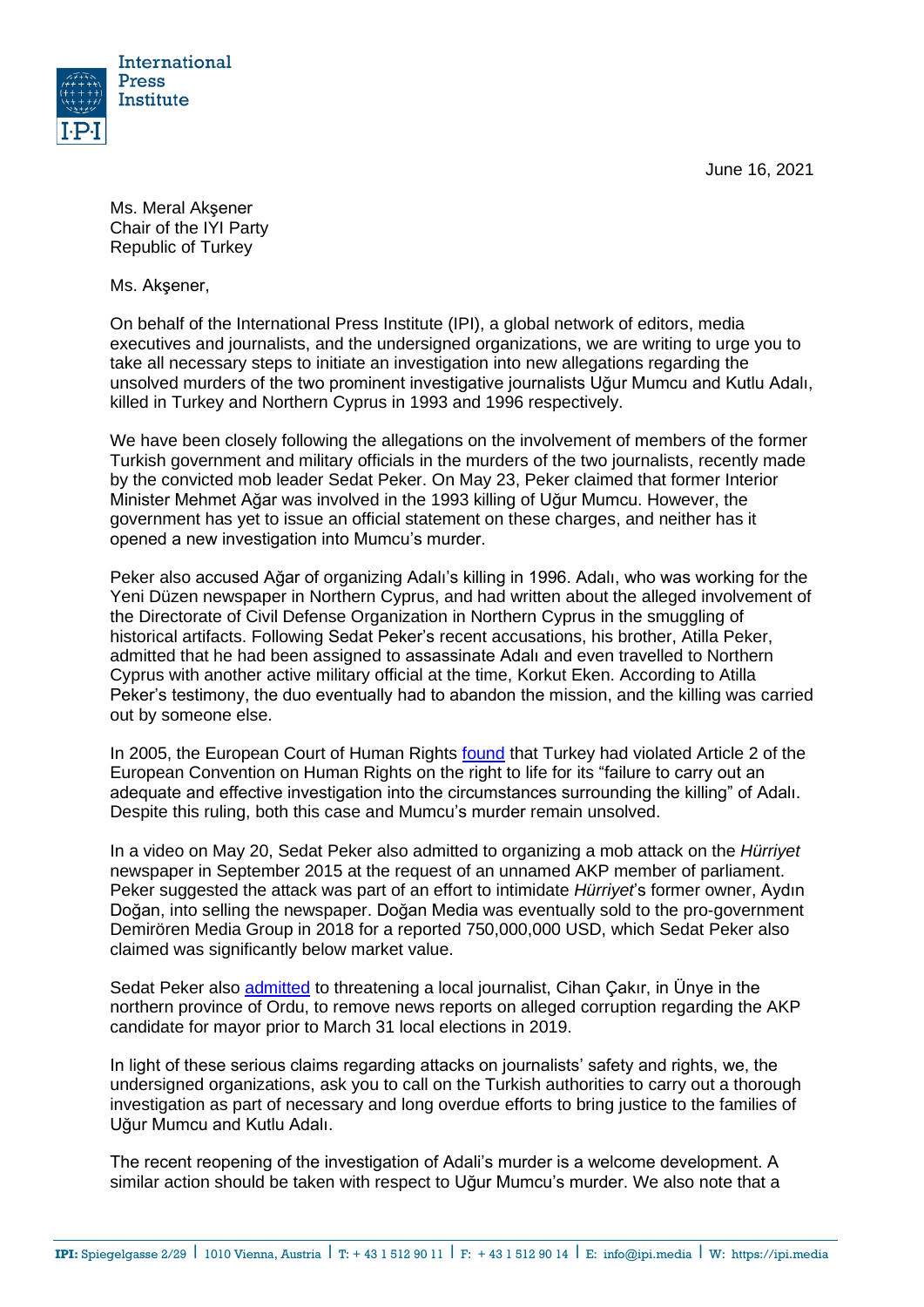June 16, 2021



Ms. Meral Akşener Chair of the IYI Party Republic of Turkey

Ms. Akşener,

On behalf of the International Press Institute (IPI), a global network of editors, media executives and journalists, and the undersigned organizations, we are writing to urge you to take all necessary steps to initiate an investigation into new allegations regarding the unsolved murders of the two prominent investigative journalists Uğur Mumcu and Kutlu Adalı, killed in Turkey and Northern Cyprus in 1993 and 1996 respectively.

We have been closely following the allegations on the involvement of members of the former Turkish government and military officials in the murders of the two journalists, recently made by the convicted mob leader Sedat Peker. On May 23, Peker claimed that former Interior Minister Mehmet Ağar was involved in the 1993 killing of Uğur Mumcu. However, the government has yet to issue an official statement on these charges, and neither has it opened a new investigation into Mumcu's murder.

Peker also accused Ağar of organizing Adalı's killing in 1996. Adalı, who was working for the Yeni Düzen newspaper in Northern Cyprus, and had written about the alleged involvement of the Directorate of Civil Defense Organization in Northern Cyprus in the smuggling of historical artifacts. Following Sedat Peker's recent accusations, his brother, Atilla Peker, admitted that he had been assigned to assassinate Adalı and even travelled to Northern Cyprus with another active military official at the time, Korkut Eken. According to Atilla Peker's testimony, the duo eventually had to abandon the mission, and the killing was carried out by someone else.

In 2005, the European Court of Human Rights [found](http://hudoc.echr.coe.int/eng?i=001-68670) that Turkey had violated Article 2 of the European Convention on Human Rights on the right to life for its "failure to carry out an adequate and effective investigation into the circumstances surrounding the killing" of Adalı. Despite this ruling, both this case and Mumcu's murder remain unsolved.

In a video on May 20, Sedat Peker also admitted to organizing a [mob attack](https://freeturkeyjournalists.ipi.media/ipi-condemns-mob-attack-on-turkish-daily-criminal-charges/) on the *Hürriyet* newspaper in September 2015 at the request of an unnamed AKP member of parliament. Peker suggested the attack was part of an effort to intimidate *Hürriyet*'s former owner, Aydın Doğan, into selling the newspaper. Doğan Media was eventually sold to the pro-government Demirören Media Group in 2018 for a reported 750,000,000 USD, which Sedat Peker also claimed was significantly below market value.

Sedat Peker also [admitted](https://www.gazeteduvar.com.tr/gazeteci-cakir-sedat-peker-gecmiste-yazdigim-haberi-kaldirtmak-istedi-haber-1524621) to threatening a local journalist, Cihan Çakır, in Ünye in the northern province of Ordu, to remove news reports on alleged corruption regarding the AKP candidate for mayor prior to March 31 local elections in 2019.

In light of these serious claims regarding attacks on journalists' safety and rights, we, the undersigned organizations, ask you to call on the Turkish authorities to carry out a thorough investigation as part of necessary and long overdue efforts to bring justice to the families of Uğur Mumcu and Kutlu Adalı.

The recent reopening of the investigation of Adali's murder is a welcome development. A similar action should be taken with respect to Uğur Mumcu's murder. We also note that a